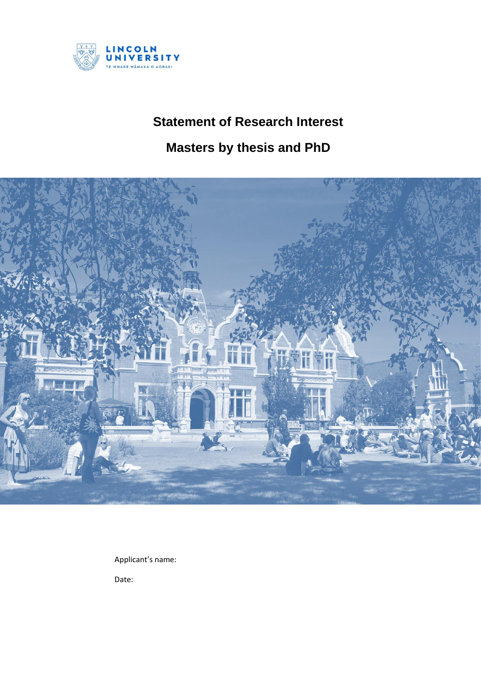

## **Statement of Research Interest**

## **Masters by thesis and PhD**



Applicant's name:

Date: